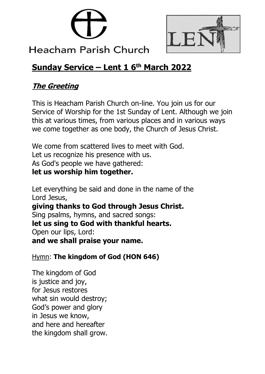



# **Heacham Parish Church**

## **Sunday Service – Lent 1 6 th March 2022**

## **The Greeting**

This is Heacham Parish Church on-line. You join us for our Service of Worship for the 1st Sunday of Lent. Although we join this at various times, from various places and in various ways we come together as one body, the Church of Jesus Christ.

We come from scattered lives to meet with God. Let us recognize his presence with us. As God's people we have gathered: **let us worship him together.**

Let everything be said and done in the name of the Lord Jesus, **giving thanks to God through Jesus Christ.**  Sing psalms, hymns, and sacred songs: **let us sing to God with thankful hearts.**  Open our lips, Lord: **and we shall praise your name.**

Hymn: **The kingdom of God (HON 646)**

The kingdom of God is justice and joy, for Jesus restores what sin would destroy; God's power and glory in Jesus we know, and here and hereafter the kingdom shall grow.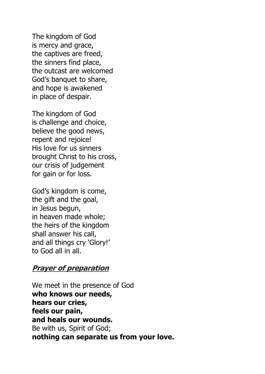The kingdom of God is mercy and grace, the captives are freed, the sinners find place, the outcast are welcomed God's banquet to share, and hope is awakened in place of despair.

The kingdom of God is challenge and choice, believe the good news, repent and rejoice! His love for us sinners brought Christ to his cross, our crisis of judgement for gain or for loss.

God's kingdom is come, the gift and the goal, in Jesus begun, in heaven made whole; the heirs of the kingdom shall answer his call, and all things cry 'Glory!' to God all in all.

#### **Prayer of preparation**

We meet in the presence of God **who knows our needs, hears our cries, feels our pain, and heals our wounds.** Be with us, Spirit of God; **nothing can separate us from your love.**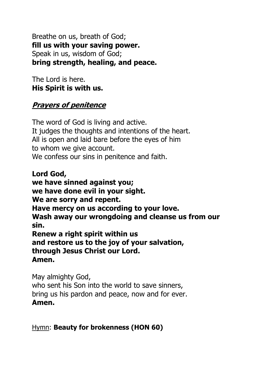Breathe on us, breath of God; **fill us with your saving power.** Speak in us, wisdom of God; **bring strength, healing, and peace.**

The Lord is here. **His Spirit is with us.**

#### **Prayers of penitence**

The word of God is living and active. It judges the thoughts and intentions of the heart. All is open and laid bare before the eyes of him to whom we give account. We confess our sins in penitence and faith.

**Lord God, we have sinned against you; we have done evil in your sight. We are sorry and repent. Have mercy on us according to your love. Wash away our wrongdoing and cleanse us from our sin. Renew a right spirit within us and restore us to the joy of your salvation, through Jesus Christ our Lord. Amen.**

May almighty God, who sent his Son into the world to save sinners, bring us his pardon and peace, now and for ever. **Amen.**

Hymn: **Beauty for brokenness (HON 60)**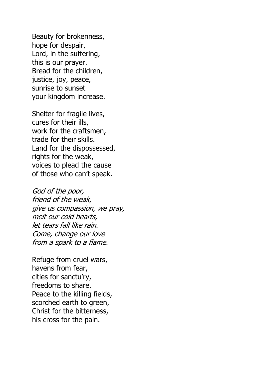Beauty for brokenness, hope for despair, Lord, in the suffering, this is our prayer. Bread for the children, justice, joy, peace, sunrise to sunset your kingdom increase.

Shelter for fragile lives, cures for their ills, work for the craftsmen, trade for their skills. Land for the dispossessed, rights for the weak, voices to plead the cause of those who can't speak.

God of the poor, friend of the weak, give us compassion, we pray, melt our cold hearts, let tears fall like rain. Come, change our love from a spark to a flame.

Refuge from cruel wars, havens from fear, cities for sanctu'ry, freedoms to share. Peace to the killing fields, scorched earth to green, Christ for the bitterness, his cross for the pain.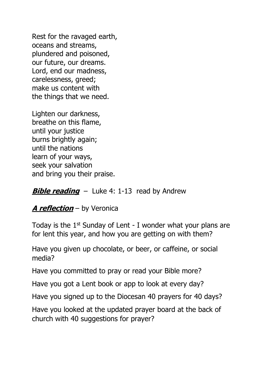Rest for the ravaged earth, oceans and streams, plundered and poisoned, our future, our dreams. Lord, end our madness, carelessness, greed; make us content with the things that we need.

Lighten our darkness, breathe on this flame, until your justice burns brightly again; until the nations learn of your ways, seek your salvation and bring you their praise.

#### **Bible reading** – Luke 4: 1-13 read by Andrew

#### **A reflection** – by Veronica

Today is the  $1<sup>st</sup>$  Sunday of Lent - I wonder what your plans are for lent this year, and how you are getting on with them?

Have you given up chocolate, or beer, or caffeine, or social media?

Have you committed to pray or read your Bible more?

Have you got a Lent book or app to look at every day?

Have you signed up to the Diocesan 40 prayers for 40 days?

Have you looked at the updated prayer board at the back of church with 40 suggestions for prayer?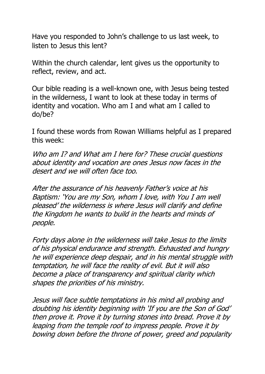Have you responded to John's challenge to us last week, to listen to Jesus this lent?

Within the church calendar, lent gives us the opportunity to reflect, review, and act.

Our bible reading is a well-known one, with Jesus being tested in the wilderness, I want to look at these today in terms of identity and vocation. Who am I and what am I called to do/be?

I found these words from Rowan Williams helpful as I prepared this week:

Who am I? and What am I here for? These crucial questions about identity and vocation are ones Jesus now faces in the desert and we will often face too.

After the assurance of his heavenly Father's voice at his Baptism: 'You are my Son, whom I love, with You I am well pleased' the wilderness is where Jesus will clarify and define the Kingdom he wants to build in the hearts and minds of people.

Forty days alone in the wilderness will take Jesus to the limits of his physical endurance and strength. Exhausted and hungry he will experience deep despair, and in his mental struggle with temptation, he will face the reality of evil. But it will also become a place of transparency and spiritual clarity which shapes the priorities of his ministry.

Jesus will face subtle temptations in his mind all probing and doubting his identity beginning with 'If you are the Son of God' then prove it. Prove it by turning stones into bread. Prove it by leaping from the temple roof to impress people. Prove it by bowing down before the throne of power, greed and popularity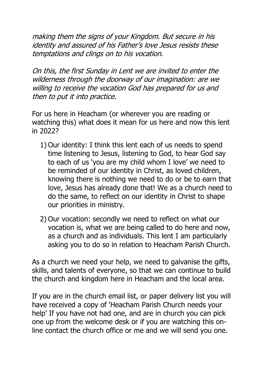making them the signs of your Kingdom. But secure in his identity and assured of his Father's love Jesus resists these temptations and clings on to his vocation.

On this, the first Sunday in Lent we are invited to enter the wilderness through the doorway of our imagination: are we willing to receive the vocation God has prepared for us and then to put it into practice.

For us here in Heacham (or wherever you are reading or watching this) what does it mean for us here and now this lent in 2022?

- 1) Our identity: I think this lent each of us needs to spend time listening to Jesus, listening to God, to hear God say to each of us 'you are my child whom I love' we need to be reminded of our identity in Christ, as loved children, knowing there is nothing we need to do or be to earn that love, Jesus has already done that! We as a church need to do the same, to reflect on our identity in Christ to shape our priorities in ministry.
- 2) Our vocation: secondly we need to reflect on what our vocation is, what we are being called to do here and now, as a church and as individuals. This lent I am particularly asking you to do so in relation to Heacham Parish Church.

As a church we need your help, we need to galvanise the gifts, skills, and talents of everyone, so that we can continue to build the church and kingdom here in Heacham and the local area.

If you are in the church email list, or paper delivery list you will have received a copy of 'Heacham Parish Church needs your help' If you have not had one, and are in church you can pick one up from the welcome desk or if you are watching this online contact the church office or me and we will send you one.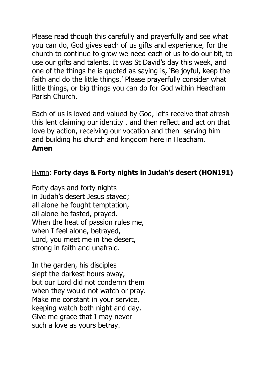Please read though this carefully and prayerfully and see what you can do, God gives each of us gifts and experience, for the church to continue to grow we need each of us to do our bit, to use our gifts and talents. It was St David's day this week, and one of the things he is quoted as saying is, 'Be joyful, keep the faith and do the little things.' Please prayerfully consider what little things, or big things you can do for God within Heacham Parish Church.

Each of us is loved and valued by God, let's receive that afresh this lent claiming our identity , and then reflect and act on that love by action, receiving our vocation and then serving him and building his church and kingdom here in Heacham. **Amen**

#### Hymn: **Forty days & Forty nights in Judah's desert (HON191)**

Forty days and forty nights in Judah's desert Jesus stayed; all alone he fought temptation, all alone he fasted, prayed. When the heat of passion rules me, when I feel alone, betrayed, Lord, you meet me in the desert, strong in faith and unafraid.

In the garden, his disciples slept the darkest hours away, but our Lord did not condemn them when they would not watch or pray. Make me constant in your service, keeping watch both night and day. Give me grace that I may never such a love as yours betray.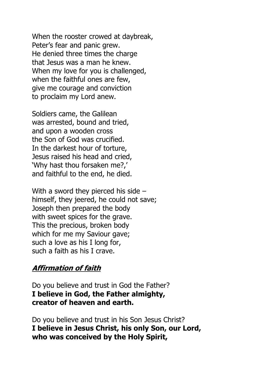When the rooster crowed at daybreak, Peter's fear and panic grew. He denied three times the charge that Jesus was a man he knew. When my love for you is challenged, when the faithful ones are few, give me courage and conviction to proclaim my Lord anew.

Soldiers came, the Galilean was arrested, bound and tried, and upon a wooden cross the Son of God was crucified. In the darkest hour of torture, Jesus raised his head and cried, 'Why hast thou forsaken me?,' and faithful to the end, he died.

With a sword they pierced his side – himself, they jeered, he could not save; Joseph then prepared the body with sweet spices for the grave. This the precious, broken body which for me my Saviour gave; such a love as his I long for, such a faith as his I crave.

#### **Affirmation of faith**

Do you believe and trust in God the Father? **I believe in God, the Father almighty, creator of heaven and earth.**

Do you believe and trust in his Son Jesus Christ? **I believe in Jesus Christ, his only Son, our Lord, who was conceived by the Holy Spirit,**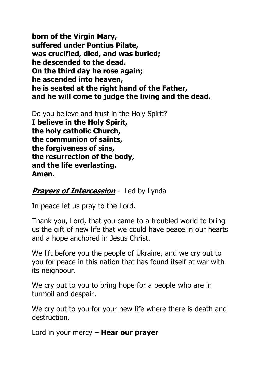**born of the Virgin Mary, suffered under Pontius Pilate, was crucified, died, and was buried; he descended to the dead. On the third day he rose again; he ascended into heaven, he is seated at the right hand of the Father, and he will come to judge the living and the dead.**

Do you believe and trust in the Holy Spirit? **I believe in the Holy Spirit, the holy catholic Church, the communion of saints, the forgiveness of sins, the resurrection of the body, and the life everlasting. Amen.**

#### **Prayers of Intercession** - Led by Lynda

In peace let us pray to the Lord.

Thank you, Lord, that you came to a troubled world to bring us the gift of new life that we could have peace in our hearts and a hope anchored in Jesus Christ.

We lift before you the people of Ukraine, and we cry out to you for peace in this nation that has found itself at war with its neighbour.

We cry out to you to bring hope for a people who are in turmoil and despair.

We cry out to you for your new life where there is death and destruction.

Lord in your mercy – **Hear our prayer**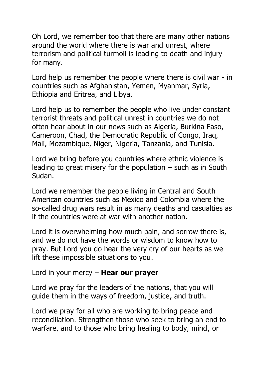Oh Lord, we remember too that there are many other nations around the world where there is war and unrest, where terrorism and political turmoil is leading to death and injury for many.

Lord help us remember the people where there is civil war - in countries such as Afghanistan, Yemen, Myanmar, Syria, Ethiopia and Eritrea, and Libya.

Lord help us to remember the people who live under constant terrorist threats and political unrest in countries we do not often hear about in our news such as Algeria, Burkina Faso, Cameroon, Chad, the Democratic Republic of Congo, Iraq, Mali, Mozambique, Niger, Nigeria, Tanzania, and Tunisia.

Lord we bring before you countries where ethnic violence is leading to great misery for the population – such as in South Sudan.

Lord we remember the people living in Central and South American countries such as Mexico and Colombia where the so-called drug wars result in as many deaths and casualties as if the countries were at war with another nation.

Lord it is overwhelming how much pain, and sorrow there is, and we do not have the words or wisdom to know how to pray. But Lord you do hear the very cry of our hearts as we lift these impossible situations to you.

Lord in your mercy – **Hear our prayer**

Lord we pray for the leaders of the nations, that you will guide them in the ways of freedom, justice, and truth.

Lord we pray for all who are working to bring peace and reconciliation. Strengthen those who seek to bring an end to warfare, and to those who bring healing to body, mind, or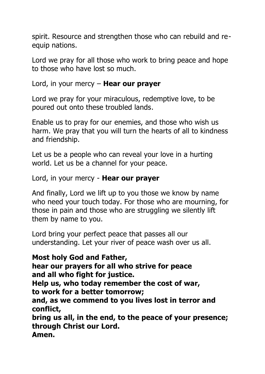spirit. Resource and strengthen those who can rebuild and reequip nations.

Lord we pray for all those who work to bring peace and hope to those who have lost so much.

Lord, in your mercy – **Hear our prayer**

Lord we pray for your miraculous, redemptive love, to be poured out onto these troubled lands.

Enable us to pray for our enemies, and those who wish us harm. We pray that you will turn the hearts of all to kindness and friendship.

Let us be a people who can reveal your love in a hurting world. Let us be a channel for your peace.

Lord, in your mercy - **Hear our prayer**

And finally, Lord we lift up to you those we know by name who need your touch today. For those who are mourning, for those in pain and those who are struggling we silently lift them by name to you.

Lord bring your perfect peace that passes all our understanding. Let your river of peace wash over us all.

**Most holy God and Father,**

**hear our prayers for all who strive for peace and all who fight for justice.**

**Help us, who today remember the cost of war, to work for a better tomorrow;**

**and, as we commend to you lives lost in terror and conflict,**

**bring us all, in the end, to the peace of your presence; through Christ our Lord. Amen.**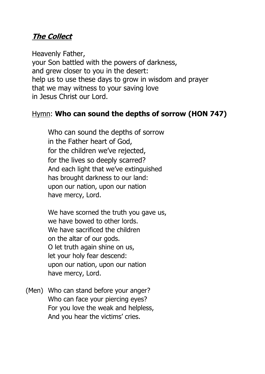#### **The Collect**

Heavenly Father, your Son battled with the powers of darkness, and grew closer to you in the desert: help us to use these days to grow in wisdom and prayer that we may witness to your saving love in Jesus Christ our Lord.

#### Hymn: **Who can sound the depths of sorrow (HON 747)**

Who can sound the depths of sorrow in the Father heart of God, for the children we've rejected, for the lives so deeply scarred? And each light that we've extinguished has brought darkness to our land: upon our nation, upon our nation have mercy, Lord.

We have scorned the truth you gave us, we have bowed to other lords. We have sacrificed the children on the altar of our gods. O let truth again shine on us, let your holy fear descend: upon our nation, upon our nation have mercy, Lord.

(Men) Who can stand before your anger? Who can face your piercing eyes? For you love the weak and helpless, And you hear the victims' cries.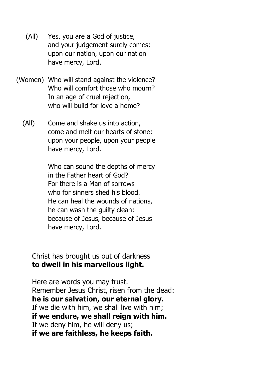- (All) Yes, you are a God of justice, and your judgement surely comes: upon our nation, upon our nation have mercy, Lord.
- (Women) Who will stand against the violence? Who will comfort those who mourn? In an age of cruel rejection, who will build for love a home?
	- (All) Come and shake us into action, come and melt our hearts of stone: upon your people, upon your people have mercy, Lord.

Who can sound the depths of mercy in the Father heart of God? For there is a Man of sorrows who for sinners shed his blood. He can heal the wounds of nations, he can wash the guilty clean: because of Jesus, because of Jesus have mercy, Lord.

Christ has brought us out of darkness **to dwell in his marvellous light.**

Here are words you may trust. Remember Jesus Christ, risen from the dead: **he is our salvation, our eternal glory.** If we die with him, we shall live with him; **if we endure, we shall reign with him.** If we deny him, he will deny us; **if we are faithless, he keeps faith.**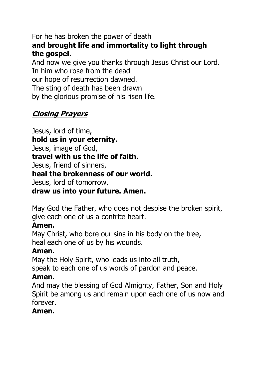For he has broken the power of death **and brought life and immortality to light through the gospel.**

And now we give you thanks through Jesus Christ our Lord. In him who rose from the dead our hope of resurrection dawned. The sting of death has been drawn by the glorious promise of his risen life.

### **Closing Prayers**

Jesus, lord of time, **hold us in your eternity.** Jesus, image of God, **travel with us the life of faith.** Jesus, friend of sinners, **heal the brokenness of our world.** Jesus, lord of tomorrow,

**draw us into your future. Amen.**

May God the Father, who does not despise the broken spirit, give each one of us a contrite heart.

#### **Amen.**

May Christ, who bore our sins in his body on the tree, heal each one of us by his wounds.

#### **Amen.**

May the Holy Spirit, who leads us into all truth,

speak to each one of us words of pardon and peace.

#### **Amen.**

And may the blessing of God Almighty, Father, Son and Holy Spirit be among us and remain upon each one of us now and forever.

#### **Amen.**